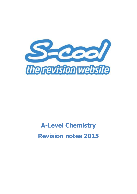

# **A-Level Chemistry Revision notes 2015**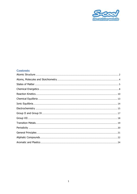

### **Contents**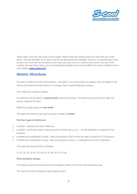

These notes cover the main areas of this subject. Please check the specific areas you need with your exam board. They are provided "as is" and S-cool do not guaranteed the suitability, accuracy or completeness of this content and S-cool will not be liable for any losses you may incur as a result of your use or non-use of this content. By using these notes, you are accepting the standard terms and conditions of S-cool, as stated in the s-cool website [\(www.s-cool.co.uk\)](http://www.s-cool.co.uk/).

### <span id="page-2-0"></span>**Atomic Structure**

The atom is made up of three sub-particles - the proton (+ve. and neutron (no charge. that are located in the nucleus of the atom and the electron (-ve charge. that is found orbiting the nucleus.

The nucleus has a positive charge.

The electrons are arranged in **energy levels** around the nucleus. Two electrons occupy the first, eight the second, eighteen the third.

Within the energy levels are **sub-shells**.

The region the electrons are said to occupy is called an **orbital**.

#### **The four types of orbital are:**

- 1. s-orbitals spherical can hold 2 electrons.
- 2. p-orbitals dumb-bell shaped, they go around in three's (px, py, pz. so hold altogether a maximum of six electrons.
- 3. d-orbitals are complicated in shape they are grouped in five's hence can hold a maximum of 10 electrons.
- 4. f-orbitals are complicated in shape they are grouped in seven's so altogether can hold 14 electrons.

The order that electrons fill is as follows:

1s, 2s, 2p, 3s, 3p, 4s, 3d, 4p, 5s, 4d, 5p, 6s, 4f, 5d, 6p.

#### **First ionisation energy:**

The energy required to remove one mole of gaseous atoms to form one mole of gaseous ions.

The value of the first ionisation energy depends upon: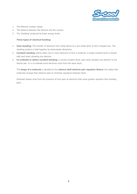

- 1. The effective nuclear charge
- 2. The distance between the electron and the nucleus
- 3. The 'shielding' produced by lower energy levels.

#### **Three types of chemical bonding:**

- 1. **Ionic bonding:** The transfer of electrons from metal atoms to a non-metal atom to form charged ions. The resulting product is held together by electrostatic attractions.
- 2. **Covalent bonding:** atoms share one or more electrons to form a molecule. A single covalent bond is shared with each atom donating one electron.
- 3. **Co-ordinate or dative covalent bonding:** a normal covalent bond, each atom donates one electron to the shared pair. In a co-ordinate bond electrons come from the same atom.

The **shape of a molecule** is decided by the **valence shell electron pair repulsion theory:** this states that molecules arrange their electron pairs to minimise repulsions between them.

Distorted shapes arise from the presence of lone pairs of electrons that cause greater repulsion than bonding pairs.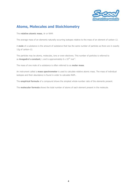

### <span id="page-4-0"></span>**Atoms, Molecules and Stoichiometry**

The **relative atomic mass**, Ar or RAM:

The average mass of an elements naturally occurring isotopes relative to the mass of an element of carbon-12.

A **mole** of a substance is the amount of substance that has the same number of particles as there are in exactly 12g of carbon-12.

The particles may be atoms, molecules, ions or even electrons. This number of particles is referred to as **Avagadro's constant**, L and is approximately  $6 \times 10^{23}$  mol<sup>-1</sup>.

The mass of one mole of a substance is often referred to as **molar mass**.

An instrument called a **mass spectrometer** is used to calculate relative atomic mass. The mass of individual isotopes and their abundance is found in order to calculate RAM..

The **empirical formula** of a compound shows the simplest whole-number ratio of the elements present.

The **molecular formula** shows the total number of atoms of each element present in the molecule.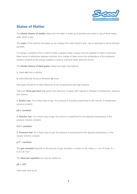

### <span id="page-5-0"></span>**States of Matter**

The **kinetic theory of matter** states that all matter is made up of particles and exists in one of three states, solid, liquid or gas.

The **order** of the particles decreases as you change from solid, liquid to gas - due to decrease in forces between particles.

To change a substance from a solid to finally a gaseous state, energy must be supplied in order to overcome these forces of attractions between particles. As a change of state occurs the temperature of the substance remains constant as the energy supplied is used to overcome these attractive forces.

The **kinetic theory of ideal gases** makes two major assumptions.

**1**. Gases **do** have a volume.

**2**. Intermolecular forces of attraction **do** exist.

Real gases deviate from ideal behaviour at low temperatures and high pressure.

There are **three gas laws** that govern the behaviour of gases with regards to changes in temperature, pressure and volume.

1. Boyle's law: For a fixed mass of gas, the pressure is inversely proportional to the volume, if temperature remains constant.

#### **pV = constant**

**2. Charles' law**: For a fixed mass of gas, the volume is proportional to the absolute temperature, if the pressure remains constant.

#### **V/T= constant**

**3. Pressure law**: for a fixed mass of gas, the pressure is proportional to the absolute temperature, if the volume remains constant.

#### **p/T - constant**

The gas constant depends on the amount of gas, therefore is written as nR, where  $n = no$ . of moles.  $R =$  $8.314$  JK $^{-1}$ mol $^{-1}$ .

The **ideal gas equation** can now be written as:

#### **pV = nRT**

Units used must be SI.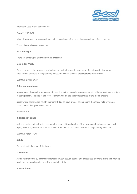

Alternative uses of this equation are:

#### $P_1V_1/T_1 = P_2V_2/T_2$

where 1 represents the gas conditions before any change, 2 represents gas conditions after a change.

To calculate **molecular mass**: Mr,

#### **Mr = mRT/pV**

There are three types of **intermolecular forces**:

#### **1. van der Waal's:**

Caused by non-polar molecules having temporary dipoles (due to movement of electrons) that cause an imbalance of electrons in neighbouring molecules. Hence, creating **electrostatic attractions**.

Example: methane CH4

#### **2. Permanent dipole:**

A polar molecule contains permanent dipoles, due to the molecule being unsymmetrical in terms of shape or type of atom present. The size of this force is determined by the electronegativities of the atoms present.

Solids whose particles are held by permanent dipoles have greater boiling points than those held by van der Waal's due to their permanent nature.

Example: HCl

#### **3. Hydrogen bond:**

A strong electrostatic attraction between the poorly shielded proton of the hydrogen atom bonded to a small highly electronegative atom, such as N, O or F and a lone pair of electrons on a neighbouring molecule.

Example: water - H2O.

#### **Solids**

Can be classified as one of five types:

#### **1. Metallic:**

Atoms held together by electrostatic forces between pseudo cations and delocalised electrons. Have high melting points and are good conductors of heat and electricity.

#### **2. Giant ionic:**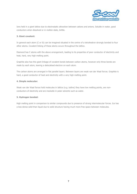

Ions held in a giant lattice due to electrostatic attraction between cations and anions. Soluble in water, good conductors when dissolved or in molten state, brittle.

#### **3. Giant covalent:**

In general each atom (C or Si) can be imagined situated in the centre of a tetrahedron strongly bonded to four other atoms. Covalent linking of these atoms occurs throughout the lattice.

Diamond has C atoms with the above arrangement, leading to its properties of poor conductor of electricity and heat, hard, very high melting point.

Graphite also has this giant linkage of covalent bonds between carbon atoms, however only three bonds are made by each atom, leaving a delocalised electron on each atom.

The carbon atoms are arranged in flat parallel layers. Between layers are weak van der Waal forces. Graphite is hard, a good conductor of heat and electricity with a very high melting point.

#### **4. Simple molecular:**

Weak van der Waal forces hold molecules in lattice (e.g. iodine) they have low melting points, are nonconductors of electricity and are insoluble in polar solvents such as water.

#### **5. Hydrogen bonded:**

High melting point in comparison to similar compounds due to presence of strong intermolecular forces. Ice has a less dense solid than liquid due to solid structure having much more free space between molecules.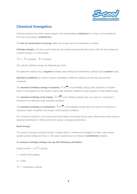

## <span id="page-8-0"></span>**Chemical Energetics**

Chemical reactions can either release energy to the surroundings, **exothermic** or energy can be transferred from the surroundings, **endothermic**.

The **law of conservation of energy** states that energy cannot be destroyed or created.

**Enthalpy change** is the term used to describe the energy exchange that takes place with the surroundings at constant pressure. H is the symbol.

 $\Delta H = \Delta H$  products -  $\Delta H$  reactants

The units for enthalpy change are Kilojoules per mole.

An exothermic reaction has a **negative** enthalpy value whereas an endothermic enthalpy has a **positive** value.

**Standard conditions** are used to measure enthalpies of different reactions so that they may be fairly compared.

The **standard enthalpy change of reaction**:  $\Delta$  Hr<sup> $\theta$ </sup> is the enthalpy change when amounts of reactants shown in the equation for the reaction, react under standard conditions to give products in their standard state.

The **standard enthalpy of formation**:  $\Delta Hf^{\oplus}$  is the enthalpy change when one mole of a compound is formed from its elements under standard conditions.

The **standard enthalpy of combustion**:  $\Delta$  Hc<sup> $\theta$ </sup> is the enthalpy change when one mole of an element or compound reacts completely with oxygen under standard conditions.

For a chemical reaction to occur bonds must break before new bonds can be made. When bonds break energy is absorbed (endothermic). When bonds form energy is released (exothermic).

#### **Bond energy:**

The amount of energy required to break a covalent bond; it indicates the strength of a bond. Value always quoted as bond energy per mole, E. The value is positive due to it being an **endothermic** reaction.

#### **To measure enthalpy changes we use the following calculation:**

Energy transfer = mc $\Delta$  T (joules)

 $c =$  specific heat capacity.

 $m -$  macc

 $\Delta T$  = temperature change.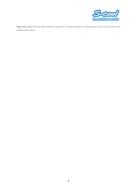

**Hess' law** states that the total enthalpy change for a chemical reaction is independent of the route by which the reaction takes place.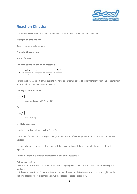

### <span id="page-10-0"></span>**Reaction Kinetics**

Chemical reactions occur at a definite rate which is determined by the reaction conditions.

#### **Example of calculation:**

Rate = change of volume/time

#### **Consider the reaction:**

 $A + B \rightarrow C + D$ 

**The rate equation can be expressed as:**

$$
\text{Rate} = \frac{-d[A]}{dt} = \frac{-d[B]}{dt} = \frac{-d[C]}{dt} = \frac{d[D]}{dt}
$$

To find out how [A] or [B] affect the rate we have to perform a series of experiments in which one concentration is varied whilst the other remains constant.

#### **Usually it is found that:**

$$
\frac{-d [A]}{dt}
$$
 is proportional to [A]<sup>x</sup> and [B]<sup>y</sup>

**Or**

$$
\frac{-d[A]}{dt} = k [A]^x [B]^y
$$

#### k = **Rate constant**

x and y are **orders** with respect to A and B.

The **order** of a reaction with respect to a given reactant is defined as 'power of its concentration in the rate equation'.

The overall order is the sum of the powers of the concentrations of the reactants that appear in the rate equation.

To find the order of a reaction with respect to one of the reactants A,

- 1. Plot [A] against time
- 2. Calculate the rate at 5 or 6 different times by drawing tangents to the curve at these times and finding the gradients.
- 3. Plot the rate against [A]. If this is a straight line then the reaction is first order in A. If not a straight line then, plot rate against  $[A]^2$ . A straight line shows the reaction is second order in A.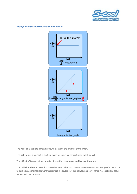

**Examples of these graphs are shown below:**



The value of k, the rate constant is found by taking the gradient of the graph.

The **half-life** of a reactant is the time taken for the initial concentration to fall by half.

#### **The effect of temperature on rate of reaction is summarised by two theories:**

1. **The collision theory** states that molecules must collide with sufficient energy (activation energy) if a reaction is to take place. As temperature increases more molecules gain this activation energy, hence more collisions occur per second, rate increases.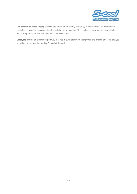

2. **The transition state theory** explains the nature of an 'energy barrier' by the existence of an intermediate 'activated complex' or transition state formed during the reaction. This is a high energy species in which old bonds are partially broken and new bonds partially made.

**Catalysts** provide an alternative pathway that has a lower activation energy than the original one. The catalyst is involved in the reaction but is reformed at the end.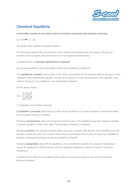

# <span id="page-13-0"></span>**Chemical Equilibria**

**A reversible reaction is one where there is a forward and backwards reaction occurring:**

 $aA + bB \rightleftharpoons cC + dD$ 

The double arrow signifies a reversible reaction.

If in the above reactions the concentrations of the reactants and products does not change, although the reaction is still in progress, then the forward rate must equal the backward rate.

A situation known as **dynamic equilibrium is achieved**.

Any dynamic equilibrium can be described in terms of its equilibrium constant, Kc.

The **equilibrium constant** is the product of the molar concentrations of the products raised to the power of the coefficient in the stoichiometric equation, divided by the product of molar concentrations of the reactants, each raised to the power of its coefficient in the stoichiometric equation.

For the above reaction,

$$
Kc=\frac{[C]^c\,[D]^d}{[A]^a\,[B]^b}
$$

[ ] represents concentration of species.

Le Chatelier's principle states that the position of the equilibrium of a system changes to minimise the effect of any imposed change in conditions.

Changing **concentration**, does not change the numerical value of the equilibrium, but does change its position. In general equilibrium shifts to the right if concentration of reactant is increased.

Changing **pressure**, for reactions involving gases may cause a change in the position of the equilibrium, but the constant remains the same. For a reaction where there is an increase in the number of moles from reactants to products, increasing the pressure moves the equilibrium to the left.

Changing **temperature** does shift the equilibrium. For an exothermic reaction, the increase in temperature causes the equilibrium to shift to the left, since the opposing endothermic reaction will tend to reduce the temperature.

A catalyst has no effect on the position of the equilibrium, but does increase the rate of the forward and backward reactions.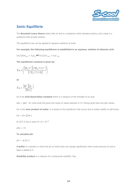

### <span id="page-14-0"></span>**Ionic Equilibria**

The **Bronsted-Lowry theory** states that an acid is a substance which donates protons, and a base is a substance that accepts protons.

The equilibrium law can be applied to aqueous solutions of acids.

**For example, the following equilibrium is established in an aqueous. solution of ethanoic acid:**

 $CH_3COOH_{(aq)} + H_2O_{(l)} \rightleftharpoons CH_3COO_{(aq)} + H_3O_{(aq)}^+$ 

**The equilibrium constant is given by:**

$$
\mathrm{Ka}=\!\!\left(\!\frac{\left[\mathrm{H_30}^{\mathrm{+}}\right]\!\!\left[\mathrm{CH_3COO}^{\mathrm{-}}\right]}{\left[\mathrm{CH_3COOH}\right]}\!\right)
$$

**Or**

$$
Ka = \frac{\boxed{H^+ \parallel A^-}}{\boxed{HA}}
$$

Ka is the **Acid dissociation constant** which is a measure of the strength of an acid.

pKa = lgKa - for most acids this gives the range of values between 0-14. Strong acids have low pKa values.

Kw is the **ionic product of water**, it is based on the equilibrium that occurs due to waters ability to self-ionise.

 $Kw = [H+][OH-]$ 

At 25 $\degree$ C it has a value of 1.0 x 10<sup>-14</sup>

 $pKw = 14$ .

**To calculate pH:**

 $pH = -Iq[H+1]$ 

**A buffer** is a solution in which the pH of which does not change significantly when small amounts of acid or base is added to it.

**Solubility product** is a measure of a compounds solubility: Ksp.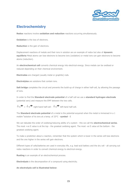

### <span id="page-15-0"></span>**Electrochemistry**

**Redox** reactions involve **oxidation and reduction** reactions occurring simultaneously.

**Oxidation** is the loss of electrons.

**Reduction** is the gain of electrons.

Displacement reactions of metals and their ions in solution are an example of redox but also of **dynamic equilibria** Metal atoms can lose electrons to become ions (oxidation) or metal ions can gain electrons to become atoms (reduction).

An **electrochemical cell** converts chemical energy into electrical energy. Since metals can be oxidised or reduced depending on their chemical environment.

**Electrodes** are charged (usually metal or graphite) rods.

**Electrolytes** are solutions that contain ions.

**Salt bridge** completes the circuit and prevents the build-up of charge in either half-cell, by allowing the passage of ions.

In order to find the **Standard electrode potential** of a half cell we use a **standard hydrogen electrode** (potential zero) and measure the EMF between the two cells.

 $\Delta E^{\bigoplus} = \Delta E^{\bigoplus}$  right-hand half-cell -  $\Delta E^{\bigoplus}$  left-hand half-cell.

The **Standard electrode potential** of a metal is the potential acquired when the metal is immersed in a 1 moldm-3 solution of its ions at a temp. of 25°C - **symbol** - E

We can tabulate the order of oxidising/reducing ability of a system - this we call the **electrochemical series**. The most +ve E value is at the top - the greatest oxidising agent. The most -ve E value at the bottom - the greatest oxidising agent.

To make a prediction about a reaction, remember that the system which is lower in the series will lose electrons and the one higher in the series will gain electrons.

Different types of cells/batteries are used in everyday life, e.g. lead-acid battery and the dry cell - all carrying out redox reactions in order to convert chemical energy to electrical energy.

**Rusting** is an example of an electrochemical process.

**Electrolysis** is the decomposition of a compound using electricity.

**An electrolysis cell is illustrated below:**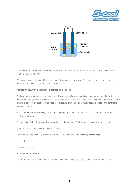



The cell consists of two electrodes (cathode -ve and anode +ve) dipped into a compound in a molten state or in solution - the **electrolyte**.

When a d.c. current is passed the compound splits up due to the anions (-ve) being attracted to the anode and the cations (+ve being attracted to the cathode.

**Reduction** occurs at the cathode, **oxidation** at the anode.

Predicting what products occur at the electrodes is confused if compound is in aqueous solution due to the presence of OH- (anion) and H+(cation) these compete with the other ions present. The electrochemical series is used to predict which cation is most readily reduced, and which anion is most readily oxidised - the other ions remain in solution.

In the **Chloro-alkali industry** chlorine gas, hydrogen gas and sodium hydroxide are produced from the electrolysis of **brine**.

The quantity of electricity passed is proportional to the amount of substance discharged at the electrode.

Quantity of electricity (charge) = current  $x$  time

One mole of electrons has a charge of 96500C. This is known as the **Faraday constant (F)**.

 $F = L \times e$ 

 $L =$  Avagadro's no.

e = charge of an electron

The number of moles of electrons required to discharge 1 mole of ions is equal to the charge on the ion.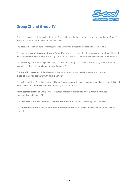

### <span id="page-17-0"></span>**Group II and Group IV**

Group II elements are less reactive than the Group I element in the same period. In compounds, the Group II elements always have an oxidation number of **+2**.

The ease with which an atom loses electrons increases with increasing atomic number in Group II.

The ease of **thermal decomposition** of Group II nitrates and carbonates decreases down the Group. Thermal decomposition is determined by the ability of the cation present to polarise the large carbonate or nitrate ions.

The **solubility** of Group II sulphates decreases down the Group. This trend is explained by the decrease in magnitude of the enthalpy change of hydration of  $M^{2+}$ .

The **metallic character** of the elements in Group IV increases with atomic number and the **nonmetallic** character decreases with atomic number.

The stability of the **+4** oxidation state in Group IV **decreases** with increasing atomic number and the stability of the**+2** oxidation state **increases** with increasing atomic number.

All the **tetrachlorides** of Group IV except carbon are readily hydrolysed by cold water to form the corresponding oxide and HCl.

The **thermal stability** of the Group IV **tetrachlorides** decreases with increasing atomic number.

The **thermal stability** of the group IV **dioxides decreases** with increasing atomic number of the Group IV element.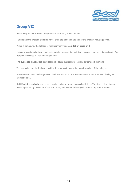

### <span id="page-18-0"></span>**Group VII**

**Reactivity** decreases down the group with increasing atomic number.

Fluorine has the greatest oxidising power of all the halogens. Iodine has the greatest reducing power.

Within a compound, the halogen is most commonly in an **oxidation state of -1**.

Halogens usually make ionic bonds with metals. However they will form covalent bonds with themselves to form diatomic molecules or with a hydrogen atom.

The **hydrogen halides** are colourless acidic gases that dissolve in water to form acid solutions.

Thermal stability of the hydrogen halides decreases with increasing atomic number of the halogen.

In aqueous solution, the halogen with the lower atomic number can displace the halide ion with the higher atomic number.

**Acidified silver nitrate** can be used to distinguish between aqueous halide ions. The silver halides formed can be distinguished by the colour of the precipitate, and by their differing solubilities in aqueous ammonia.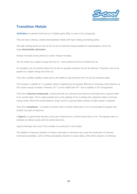

### <span id="page-19-0"></span>**Transition Metals**

**Definition:** An element that has its 'd' orbitals partly filled, in some of its compounds.

They are hard, lustrous, weakly electropositive metals with high melting and boiling points.

The high melting points are due to the 3d and 4s electrons being available for delocalisation, hence the large **electrostatic attraction**.

Density increases across period as nuclear charge increases.

The 3d orbital has a higher energy than the 4s - hence electrons fill the 4s before the 3d.

On ionisation, the 4s empties before the 3d due to repulsion between 3d and 4s electrons. Therefore, the 4s are pushed to a higher energy level than 3d.

They have variable oxidation states due to the ability to lose electrons from 4s and 3d relatively easily.

The increase in stability of +2 oxidation state is explained by the greater difficulty of removing a third electron as the nuclear charge increases. However, Fe<sup>3+</sup> is more stable than Fe<sup>2+</sup> due to stability of 3d<sup>5</sup> arrangement.

They form **coloured compounds**. Compounds that are coloured have electrons promoted from a ground state to an excited state. This is made possible due to the splitting of the d-orbitals into respective higher and lower energy levels. When the excited electron 'drops' back to a ground state a photon of light energy is released.

They form **complexes** - a complex is formed when a central metal atom or ion is surrounded by species that donate lone pairs of electrons.

A **ligand** is a species that donates a lone pair of electrons to a central metal atom or ion. The ligands make coordinate (or dative) bonds with the central atom/ion.

Ligand exchange may occur if the complex ion produced is more stable.

The addition of aqueous solutions of sodium hydroxide or ammonia may cause the production of coloured hydroxide precipitates. Some of these precipitates dissolve in excess alkali, while others dissolve in ammonia.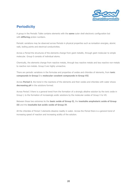

### <span id="page-20-0"></span>**Periodicity**

A group in the Periodic Table contains elements with the **same** outer shell electronic configuration but with **differing** proton numbers.

Periodic variations may be observed across Periods in physical properties such as ionisation energies, atomic radii, boiling points and electrical conductivities.

Across a Period the structures of the elements change from giant metallic, through giant molecular to simple molecular. Group 0 consists of individual atoms.

Chemically, the elements change from reactive metals, through less reactive metals and less reactive non-metals to reactive non-metals. Group 0 are highly unreactive.

There are periodic variations in the formulae and properties of oxides and chlorides of elements, from **ionic compounds in Group I** to **molecular covalent compounds in Group VII**.

Across **Period 3**, the trend in the reactions of the elements and their oxides and chlorides with water shows **decreasing pH** in the solutions formed.

Across Period 3 there is a general trend from the formation of a strongly alkaline solution by the ionic oxide in Group I, to the formation of increasingly acidic solutions by the molecular oxides of Group V to VII.

Between these two extremes lie the **basic oxide of Group II,** the **insoluble amphoteric oxide of Group III** and the **insoluble but acidic oxide of Group IV**.

All the chlorides of Period 3 elements dissolve readily in water. Across the Period there is a general trend of increasing speed of reaction and increasing acidity of the solution.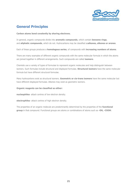

## <span id="page-21-0"></span>**General Principles**

#### **Carbon atoms bond covalently by sharing electrons.**

In general, organic compounds divide into **aromatic compounds**, which contain **benzene rings**, and **aliphatic compounds**, which do not. Hydrocarbons may be classified as**alkanes, alkenes or arenes**.

Each of these groups produces a **homologous series**, of compounds with **increasing numbers of atoms**.

There are many examples of different organic compounds with the same molecular formula in which the atoms are joined together in different arrangements. Such compounds are called **isomers**.

Chemists use a variety of types of formulae to represent organic molecules and help distinguish between isomers. Such formulae include structural and displayed formulae. **Structural isomers** have the same molecular formula but have different structural formulae.

Many hydrocarbons exist as structural isomers. **Geometric or cis-trans isomers** have the same molecular but have different displayed formulae. Alkenes may exist as geometric isomers.

#### **Organic reagents can be classified as either:**

**nucleophiles**- attack centres of low electron density.

**electrophiles**- attack centres of high electron density.

The properties of an organic molecule are predominantly determined by the properties of the **functional group** in that compound. Functional groups are atoms or combinations of atoms such as **-OH, -COOH**.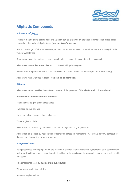

## <span id="page-22-0"></span>**Aliphatic Compounds**

#### **Alkanes - CnH2n+2**

Trends in melting point, boiling point and volatility can be explained by the weak intermolecular forces called induced dipole - induced dipole forces (**van der Waal's forces**).

As the chain length of alkanes increases, so does the number of electrons, which increases the strength of the van der Waal forces.

Branching reduces the surface area over which induced dipole - induced dipole forces can act.

Alkanes are **non-polar molecules**, so do not react with polar reagents.

Free radicals are produced by the homolytic fission of covalent bonds, for which light can provide energy.

Alkanes will react with free radicals - **free radical substitution**.

#### **Alkenes**

Alkenes are **more reactive** than alkanes because of the presence of the **electron rich double bond**.

#### **Alkenes react by electrophilic addition:**

With halogens to give dihalogenoalkanes.

Hydrogen to give alkanes.

Hydrogen halides to give halogenoalkanes.

Water to give alcohols.

Alkenes can be oxidised by cold dilute potassium manganate (VII) to give diols.

Alkenes can be oxidised by hot acidified concentrated potassium manganate (VII) to give carbonyl compounds, the reaction cleaving the carbon-carbon bond.

#### **Halogenoalkanes**

Halogenoalkanes can be prepared by the reaction of alcohols with concentrated hydrobromic acid, concentrated hydrochloric acid and concentrated hydroiodic acid or by the reaction of the appropriate phosphorus halides with an alcohol.

Halogenoalkanes react by **nucleophilic substitution**

With cyanide ion to form nitriles.

Ammonia to give amines.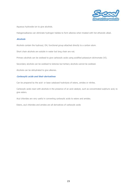

Aqueous hydroxide ion to give alcohols.

Halogenoalkanes can eliminate hydrogen halides to form alkenes when treated with hot ethanolic alkali.

#### **Alcohols**

Alcohols contain the hydroxyl, OH, functional group attached directly to a carbon atom.

Short chain alcohols are soluble in water but long chain are not.

Primary alcohols can be oxidised to give carboxylic acids using acidified potassium dichromate (VI).

Secondary alcohols can be oxidised to ketones but tertiary alcohols cannot be oxidised.

Alcohols can be dehydrated to give alkenes.

#### **Carboxylic acids and their derivatives**

Can be prepared by the acid- or base catalysed hydrolysis of esters, amides or nitriles.

Carboxylic acids react with alcohols in the presence of an acid catalyst, such as concentrated sulphuric acid, to give esters.

Acyl chlorides are very useful in converting carboxylic acids to esters and amides.

Esters, acyl chlorides and amides are all derivatives of carboxylic acids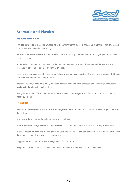

### <span id="page-24-0"></span>**Aromatic and Plastics**

#### **Aromatic compounds**

The **benzene ring** is a regular hexagon of carbon atoms joined by six pi bonds. Six pi electrons are delocalised in an orbital above and below the ring.

**Arenes** react by **electrophilic substitution** where an electrophile is substituted for a hydrogen atom, which is lost as a proton.

An arene is chlorinated or brominated by the reaction between chlorine and bromine and the arene in the presence of iron (III) chloride or aluminium chloride.

A nitrating mixture consists of concentrated sulphuric acid and concentrated nitric acid, and produces NO2+ that can react with arenes to form nitroarenes.

Phenol and phenylamine have highly activated benzene rings and form trisubstituted substitution products at positions 2, 4 and 6 with electrophiles.

Methylbenzene reacts faster than benzene towards electrophilic reagents and forms substitution products at position 2, 4 and 6.

### **Plastics**

Alkenes are **monomers** that form **addition polymerisation**. Addition occurs due to the cleaving of the carbon double bond.

If ethene is the monomer the polymer made is polyethene.

In **condensation polymerisation** the addition of two monomers releases a small molecule, usually water.

In the formation of polyester the two polymers used are ethane 1,2-diol and benzene 1,4 dicarboxylic acid. When these add, an ester link is formed and water is released.

Polypeptides and proteins consist of long chains of amino acids.

Polypeptides are formed by a condensation polymerisation reaction between two amino acids.